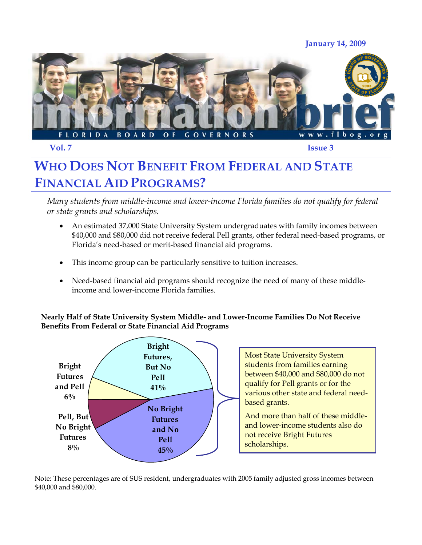**January 14, 2009** 



**Vol. 7 Issue 3** 

## **WHO DOES NOT BENEFIT FROM FEDERAL AND STATE FINANCIAL AID PROGRAMS?**

*Many students from middle-income and lower-income Florida families do not qualify for federal or state grants and scholarships.* 

- An estimated 37,000 State University System undergraduates with family incomes between \$40,000 and \$80,000 did not receive federal Pell grants, other federal need-based programs, or Florida's need-based or merit-based financial aid programs.
- This income group can be particularly sensitive to tuition increases.
- Need-based financial aid programs should recognize the need of many of these middleincome and lower-income Florida families.

**Nearly Half of State University System Middle- and Lower-Income Families Do Not Receive Benefits From Federal or State Financial Aid Programs** 



Most State University System students from families earning between \$40,000 and \$80,000 do not qualify for Pell grants or for the various other state and federal needbased grants.

And more than half of these middleand lower-income students also do not receive Bright Futures scholarships.

Note: These percentages are of SUS resident, undergraduates with 2005 family adjusted gross incomes between \$40,000 and \$80,000.